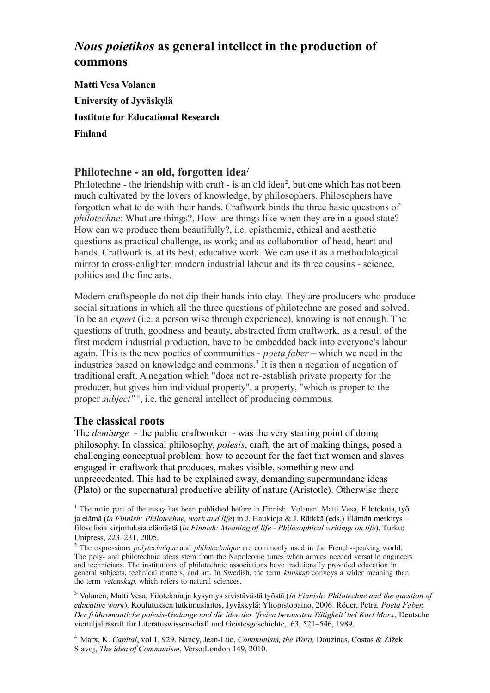# *Nous poietikos* **as general intellect in the production of commons**

**Matti Vesa Volanen University of Jyväskylä Institute for Educational Research Finland**

## **Philotechne - an old, forgotten idea***[1](#page-0-0)*

Philotechne - the friendship with craft - is an old idea<sup>[2](#page-0-1)</sup>, but one which has not been much cultivated by the lovers of knowledge, by philosophers. Philosophers have forgotten what to do with their hands. Craftwork binds the three basic questions of *philotechne*: What are things?, How are things like when they are in a good state? How can we produce them beautifully?, i.e. episthemic, ethical and aesthetic questions as practical challenge, as work; and as collaboration of head, heart and hands. Craftwork is, at its best, educative work. We can use it as a methodological mirror to cross-enlighten modern industrial labour and its three cousins - science, politics and the fine arts.

Modern craftspeople do not dip their hands into clay. They are producers who produce social situations in which all the three questions of philotechne are posed and solved. To be an *expert* (i.e. a person wise through experience), knowing is not enough. The questions of truth, goodness and beauty, abstracted from craftwork, as a result of the first modern industrial production, have to be embedded back into everyone's labour again. This is the new poetics of communities - *poeta faber* – which we need in the industries based on knowledge and commons.<sup>[3](#page-0-2)</sup> It is then a negation of negation of traditional craft. A negation which "does not re-establish private property for the producer, but gives him individual property", a property, "which is proper to the proper *subject*<sup>" [4](#page-0-3)</sup>, i.e. the general intellect of producing commons.

# **The classical roots**

The *demiurge* - the public craftworker - was the very starting point of doing philosophy. In classical philosophy, *poiesis*, craft, the art of making things, posed a challenging conceptual problem: how to account for the fact that women and slaves engaged in craftwork that produces, makes visible, something new and unprecedented. This had to be explained away, demanding supermundane ideas (Plato) or the supernatural productive ability of nature (Aristotle). Otherwise there

<span id="page-0-3"></span><sup>4</sup> Marx, K. *Capital*, vol 1, 929. Nancy, Jean-Luc, *Communism, the Word,* Douzinas, Costas & Žižek Slavoj, *The idea of Communism*, Verso:London 149, 2010.

<span id="page-0-0"></span><sup>&</sup>lt;sup>1</sup> The main part of the essay has been published before in Finnish. Volanen, Matti Vesa, Filoteknia, työ ja elämä (*in Finnish: Philotechne, work and life*) in J. Haukioja & J. Räikkä (eds.) Elämän merkitys – filosofisia kirjoituksia elämästä (*in Finnish: Meaning of life - Philosophical writings on life*). Turku: Unipress, 223–231, 2005.

<span id="page-0-1"></span><sup>&</sup>lt;sup>2</sup> The expressions *polytechnique* and *philotechnique* are commonly used in the French-speaking world. The poly- and philotechnic ideas stem from the Napoleonic times when armies needed versatile engineers and technicians. The institutions of philotechnic associations have traditionally provided education in general subjects, technical matters, and art. In Swedish, the term kunskap conveys a wider meaning than the term vetenskap, which refers to natural sciences.

<span id="page-0-2"></span><sup>3</sup> Volanen, Matti Vesa, Filoteknia ja kysymys sivistävästä työstä (*in Finnish: Philotechne and the question of educative work*). Koulutuksen tutkimuslaitos, Jyväskylä: Yliopistopaino, 2006. Röder, Petra*, Poeta Faber. Der frühromantiche poiesis-Gedange und die idee der 'freien bewussten Tätigkeit' bei Karl Marx*, Deutsche vierteljahrssrift fur Literatuswissenschaft und Geistesgeschichte, 63, 521–546, 1989.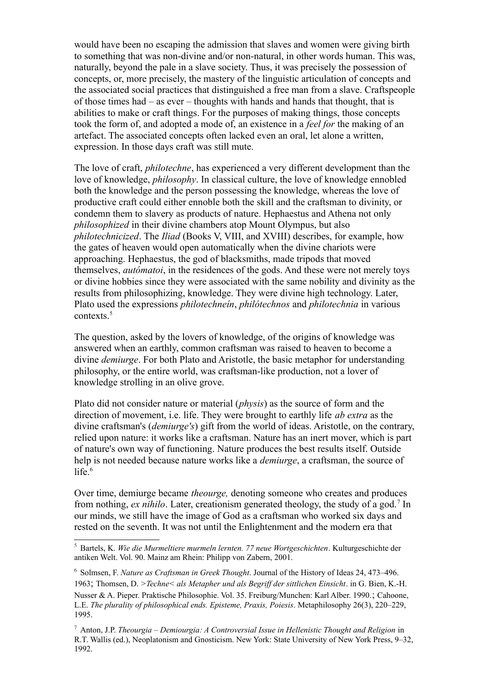would have been no escaping the admission that slaves and women were giving birth to something that was non-divine and/or non-natural, in other words human. This was, naturally, beyond the pale in a slave society. Thus, it was precisely the possession of concepts, or, more precisely, the mastery of the linguistic articulation of concepts and the associated social practices that distinguished a free man from a slave. Craftspeople of those times had – as ever – thoughts with hands and hands that thought, that is abilities to make or craft things. For the purposes of making things, those concepts took the form of, and adopted a mode of, an existence in a *feel for* the making of an artefact. The associated concepts often lacked even an oral, let alone a written, expression. In those days craft was still mute.

The love of craft, *philotechne*, has experienced a very different development than the love of knowledge, *philosophy*. In classical culture, the love of knowledge ennobled both the knowledge and the person possessing the knowledge, whereas the love of productive craft could either ennoble both the skill and the craftsman to divinity, or condemn them to slavery as products of nature. Hephaestus and Athena not only *philosophized* in their divine chambers atop Mount Olympus, but also *philotechnicized*. The *Iliad* (Books V, VIII, and XVIII) describes, for example, how the gates of heaven would open automatically when the divine chariots were approaching. Hephaestus, the god of blacksmiths, made tripods that moved themselves, *autómatoi*, in the residences of the gods. And these were not merely toys or divine hobbies since they were associated with the same nobility and divinity as the results from philosophizing, knowledge. They were divine high technology. Later, Plato used the expressions *philotechneín*, *philótechnos* and *philotechnia* in various contexts.[5](#page-1-0)

The question, asked by the lovers of knowledge, of the origins of knowledge was answered when an earthly, common craftsman was raised to heaven to become a divine *demiurge*. For both Plato and Aristotle, the basic metaphor for understanding philosophy, or the entire world, was craftsman-like production, not a lover of knowledge strolling in an olive grove.

Plato did not consider nature or material (*physis*) as the source of form and the direction of movement, i.e. life. They were brought to earthly life *ab extra* as the divine craftsman's (*demiurge's*) gift from the world of ideas. Aristotle, on the contrary, relied upon nature: it works like a craftsman. Nature has an inert mover, which is part of nature's own way of functioning. Nature produces the best results itself. Outside help is not needed because nature works like a *demiurge*, a craftsman, the source of life. $6$ 

Over time, demiurge became *theourge,* denoting someone who creates and produces from nothing, ex nihilo. Later, creationism generated theology, the study of a god.<sup>[7](#page-1-2)</sup> In our minds, we still have the image of God as a craftsman who worked six days and rested on the seventh. It was not until the Enlightenment and the modern era that

<span id="page-1-0"></span><sup>5</sup> Bartels, K. *Wie die Murmeltiere murmeln lernten. 77 neue Wortgeschichten*. Kulturgeschichte der antiken Welt. Vol. 90. Mainz am Rhein: Philipp von Zabern, 2001.

<span id="page-1-1"></span><sup>6</sup> Solmsen, F. *Nature as Craftsman in Greek Thought*. Journal of the History of Ideas 24, 473–496. 1963; Thomsen, D. *>Techne< als Metapher und als Begriff der sittlichen Einsicht*. in G. Bien, K.-H. Nusser & A. Pieper. Praktische Philosophie. Vol. 35. Freiburg/Munchen: Karl Alber. 1990.; Cahoone, L.E. *The plurality of philosophical ends. Episteme, Praxis, Poiesis*. Metaphilosophy 26(3), 220–229, 1995.

<span id="page-1-2"></span><sup>7</sup> Anton, J.P. *Theourgia – Demiourgia: A Controversial Issue in Hellenistic Thought and Religion* in R.T. Wallis (ed.), Neoplatonism and Gnosticism. New York: State University of New York Press, 9–32, 1992.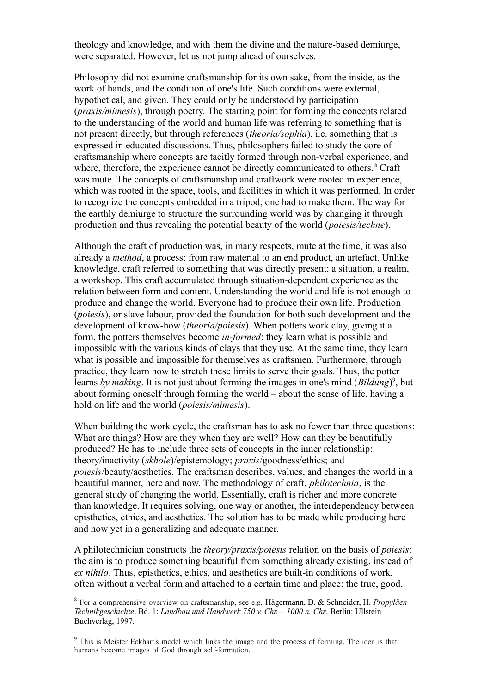theology and knowledge, and with them the divine and the nature-based demiurge, were separated. However, let us not jump ahead of ourselves.

Philosophy did not examine craftsmanship for its own sake, from the inside, as the work of hands, and the condition of one's life. Such conditions were external, hypothetical, and given. They could only be understood by participation (*praxis/mimesis*), through poetry. The starting point for forming the concepts related to the understanding of the world and human life was referring to something that is not present directly, but through references (*theoria/sophia*), i.e. something that is expressed in educated discussions. Thus, philosophers failed to study the core of craftsmanship where concepts are tacitly formed through non-verbal experience, and where, therefore, the experience cannot be directly communicated to others.<sup>[8](#page-2-0)</sup> Craft was mute. The concepts of craftsmanship and craftwork were rooted in experience, which was rooted in the space, tools, and facilities in which it was performed. In order to recognize the concepts embedded in a tripod, one had to make them. The way for the earthly demiurge to structure the surrounding world was by changing it through production and thus revealing the potential beauty of the world (*poiesis/techne*).

Although the craft of production was, in many respects, mute at the time, it was also already a *method*, a process: from raw material to an end product, an artefact. Unlike knowledge, craft referred to something that was directly present: a situation, a realm, a workshop. This craft accumulated through situation-dependent experience as the relation between form and content. Understanding the world and life is not enough to produce and change the world. Everyone had to produce their own life. Production (*poiesis*), or slave labour, provided the foundation for both such development and the development of know-how (*theoria/poiesis*). When potters work clay, giving it a form, the potters themselves become *in-formed*: they learn what is possible and impossible with the various kinds of clays that they use. At the same time, they learn what is possible and impossible for themselves as craftsmen. Furthermore, through practice, they learn how to stretch these limits to serve their goals. Thus, the potter learns by making. It is not just about forming the images in one's mind (*Bildung*)<sup>[9](#page-2-1)</sup>, but about forming oneself through forming the world – about the sense of life, having a hold on life and the world (*poiesis/mimesis*).

When building the work cycle, the craftsman has to ask no fewer than three questions: What are things? How are they when they are well? How can they be beautifully produced? He has to include three sets of concepts in the inner relationship: theory/inactivity (*skhole*)/epistemology; *praxis*/goodness/ethics; and *poiesis*/beauty/aesthetics. The craftsman describes, values, and changes the world in a beautiful manner, here and now. The methodology of craft, *philotechnia*, is the general study of changing the world. Essentially, craft is richer and more concrete than knowledge. It requires solving, one way or another, the interdependency between episthetics, ethics, and aesthetics. The solution has to be made while producing here and now yet in a generalizing and adequate manner.

A philotechnician constructs the *theory/praxis/poiesis* relation on the basis of *poiesis*: the aim is to produce something beautiful from something already existing, instead of *ex nihilo*. Thus, episthetics, ethics, and aesthetics are built-in conditions of work, often without a verbal form and attached to a certain time and place: the true, good,

<span id="page-2-0"></span><sup>8</sup> For a comprehensive overview on craftsmanship, see e.g. Hägermann, D. & Schneider, H. *Propyläen Technikgeschichte*. Bd. 1: *Landbau und Handwerk 750 v. Chr. – 1000 n. Chr*. Berlin: Ullstein Buchverlag, 1997.

<span id="page-2-1"></span><sup>&</sup>lt;sup>9</sup> This is Meister Eckhart's model which links the image and the process of forming. The idea is that humans become images of God through self-formation.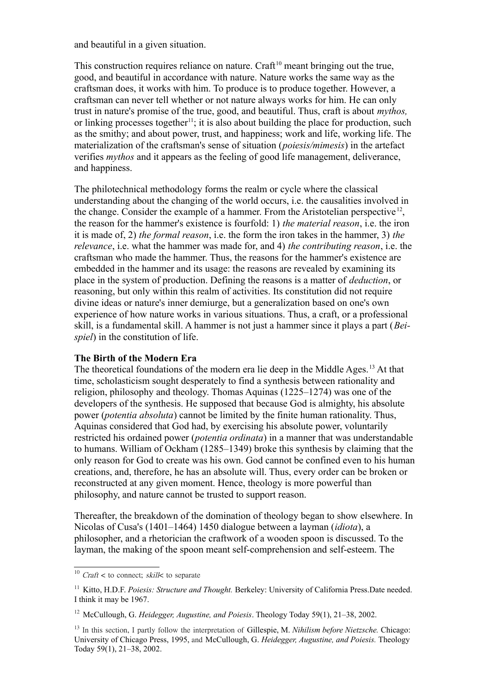and beautiful in a given situation.

This construction requires reliance on nature. Craft<sup>[10](#page-3-0)</sup> meant bringing out the true, good, and beautiful in accordance with nature. Nature works the same way as the craftsman does, it works with him. To produce is to produce together. However, a craftsman can never tell whether or not nature always works for him. He can only trust in nature's promise of the true, good, and beautiful. Thus, craft is about *mythos,* or linking processes together<sup>[11](#page-3-1)</sup>; it is also about building the place for production, such as the smithy; and about power, trust, and happiness; work and life, working life. The materialization of the craftsman's sense of situation (*poiesis/mimesis*) in the artefact verifies *mythos* and it appears as the feeling of good life management, deliverance, and happiness.

The philotechnical methodology forms the realm or cycle where the classical understanding about the changing of the world occurs, i.e. the causalities involved in the change. Consider the example of a hammer. From the Aristotelian perspective<sup>[12](#page-3-2)</sup>, the reason for the hammer's existence is fourfold: 1) *the material reason*, i.e. the iron it is made of, 2) *the formal reason*, i.e. the form the iron takes in the hammer, 3) *the relevance*, i.e. what the hammer was made for, and 4) *the contributing reason*, i.e. the craftsman who made the hammer. Thus, the reasons for the hammer's existence are embedded in the hammer and its usage: the reasons are revealed by examining its place in the system of production. Defining the reasons is a matter of *deduction*, or reasoning, but only within this realm of activities. Its constitution did not require divine ideas or nature's inner demiurge, but a generalization based on one's own experience of how nature works in various situations. Thus, a craft, or a professional skill, is a fundamental skill. A hammer is not just a hammer since it plays a part (*Beispiel*) in the constitution of life.

## **The Birth of the Modern Era**

The theoretical foundations of the modern era lie deep in the Middle Ages.[13](#page-3-3) At that time, scholasticism sought desperately to find a synthesis between rationality and religion, philosophy and theology. Thomas Aquinas (1225–1274) was one of the developers of the synthesis. He supposed that because God is almighty, his absolute power (*potentia absoluta*) cannot be limited by the finite human rationality. Thus, Aquinas considered that God had, by exercising his absolute power, voluntarily restricted his ordained power (*potentia ordinata*) in a manner that was understandable to humans. William of Ockham (1285–1349) broke this synthesis by claiming that the only reason for God to create was his own. God cannot be confined even to his human creations, and, therefore, he has an absolute will. Thus, every order can be broken or reconstructed at any given moment. Hence, theology is more powerful than philosophy, and nature cannot be trusted to support reason.

Thereafter, the breakdown of the domination of theology began to show elsewhere. In Nicolas of Cusa's (1401–1464) 1450 dialogue between a layman (*idiota*), a philosopher, and a rhetorician the craftwork of a wooden spoon is discussed. To the layman, the making of the spoon meant self-comprehension and self-esteem. The

<span id="page-3-0"></span><sup>&</sup>lt;sup>10</sup> Craft < to connect; skill < to separate

<span id="page-3-1"></span><sup>&</sup>lt;sup>11</sup> Kitto, H.D.F. *Poiesis: Structure and Thought*. Berkeley: University of California Press.Date needed. I think it may be 1967.

<span id="page-3-2"></span><sup>12</sup> McCullough, G. *Heidegger, Augustine, and Poiesis*. Theology Today 59(1), 21–38, 2002.

<span id="page-3-3"></span><sup>13</sup> In this section, I partly follow the interpretation of Gillespie, M. *Nihilism before Nietzsche.* Chicago: University of Chicago Press, 1995, and McCullough, G. *Heidegger, Augustine, and Poiesis.* Theology Today 59(1), 21–38, 2002.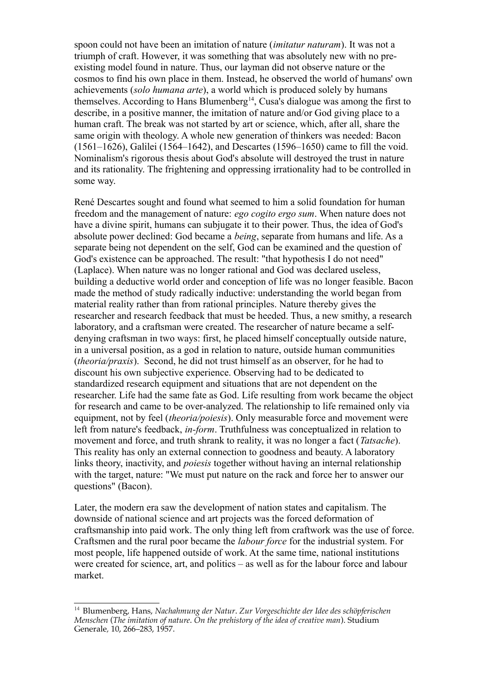spoon could not have been an imitation of nature (*imitatur naturam*). It was not a triumph of craft. However, it was something that was absolutely new with no preexisting model found in nature. Thus, our layman did not observe nature or the cosmos to find his own place in them. Instead, he observed the world of humans' own achievements (*solo humana arte*), a world which is produced solely by humans themselves. According to Hans Blumenberg<sup>[14](#page-4-0)</sup>, Cusa's dialogue was among the first to describe, in a positive manner, the imitation of nature and/or God giving place to a human craft. The break was not started by art or science, which, after all, share the same origin with theology. A whole new generation of thinkers was needed: Bacon (1561–1626), Galilei (1564–1642), and Descartes (1596–1650) came to fill the void. Nominalism's rigorous thesis about God's absolute will destroyed the trust in nature and its rationality. The frightening and oppressing irrationality had to be controlled in some way.

René Descartes sought and found what seemed to him a solid foundation for human freedom and the management of nature: *ego cogito ergo sum*. When nature does not have a divine spirit, humans can subjugate it to their power. Thus, the idea of God's absolute power declined: God became a *being*, separate from humans and life. As a separate being not dependent on the self, God can be examined and the question of God's existence can be approached. The result: "that hypothesis I do not need" (Laplace). When nature was no longer rational and God was declared useless, building a deductive world order and conception of life was no longer feasible. Bacon made the method of study radically inductive: understanding the world began from material reality rather than from rational principles. Nature thereby gives the researcher and research feedback that must be heeded. Thus, a new smithy, a research laboratory, and a craftsman were created. The researcher of nature became a selfdenying craftsman in two ways: first, he placed himself conceptually outside nature, in a universal position, as a god in relation to nature, outside human communities (*theoria/praxis*). Second, he did not trust himself as an observer, for he had to discount his own subjective experience. Observing had to be dedicated to standardized research equipment and situations that are not dependent on the researcher. Life had the same fate as God. Life resulting from work became the object for research and came to be over-analyzed. The relationship to life remained only via equipment, not by feel (*theoria/poiesis*). Only measurable force and movement were left from nature's feedback, *in-form*. Truthfulness was conceptualized in relation to movement and force, and truth shrank to reality, it was no longer a fact (*Tatsache*). This reality has only an external connection to goodness and beauty. A laboratory links theory, inactivity, and *poiesis* together without having an internal relationship with the target, nature: "We must put nature on the rack and force her to answer our questions" (Bacon).

Later, the modern era saw the development of nation states and capitalism. The downside of national science and art projects was the forced deformation of craftsmanship into paid work. The only thing left from craftwork was the use of force. Craftsmen and the rural poor became the *labour force* for the industrial system. For most people, life happened outside of work. At the same time, national institutions were created for science, art, and politics – as well as for the labour force and labour market.

<span id="page-4-0"></span><sup>14</sup> Blumenberg, Hans, *Nachahmung der Natur*. *Zur Vorgeschichte der Idee des schöpferischen Menschen* (*The imitation of nature*. *On the prehistory of the idea of creative man*). Studium Generale*,* 10, 266–283, 1957.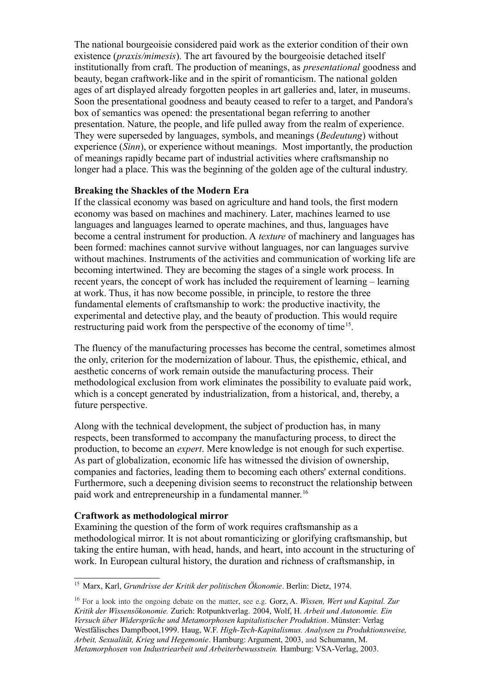The national bourgeoisie considered paid work as the exterior condition of their own existence (*praxis/mimesis*). The art favoured by the bourgeoisie detached itself institutionally from craft. The production of meanings, as *presentational* goodness and beauty, began craftwork-like and in the spirit of romanticism. The national golden ages of art displayed already forgotten peoples in art galleries and, later, in museums. Soon the presentational goodness and beauty ceased to refer to a target, and Pandora's box of semantics was opened: the presentational began referring to another presentation. Nature, the people, and life pulled away from the realm of experience. They were superseded by languages, symbols, and meanings (*Bedeutung*) without experience (*Sinn*), or experience without meanings. Most importantly, the production of meanings rapidly became part of industrial activities where craftsmanship no longer had a place. This was the beginning of the golden age of the cultural industry.

#### **Breaking the Shackles of the Modern Era**

If the classical economy was based on agriculture and hand tools, the first modern economy was based on machines and machinery. Later, machines learned to use languages and languages learned to operate machines, and thus, languages have become a central instrument for production. A *texture* of machinery and languages has been formed: machines cannot survive without languages, nor can languages survive without machines. Instruments of the activities and communication of working life are becoming intertwined. They are becoming the stages of a single work process. In recent years, the concept of work has included the requirement of learning – learning at work. Thus, it has now become possible, in principle, to restore the three fundamental elements of craftsmanship to work: the productive inactivity, the experimental and detective play, and the beauty of production. This would require restructuring paid work from the perspective of the economy of time<sup>[15](#page-5-0)</sup>.

The fluency of the manufacturing processes has become the central, sometimes almost the only, criterion for the modernization of labour. Thus, the episthemic, ethical, and aesthetic concerns of work remain outside the manufacturing process. Their methodological exclusion from work eliminates the possibility to evaluate paid work, which is a concept generated by industrialization, from a historical, and, thereby, a future perspective.

Along with the technical development, the subject of production has, in many respects, been transformed to accompany the manufacturing process, to direct the production, to become an *expert*. Mere knowledge is not enough for such expertise. As part of globalization, economic life has witnessed the division of ownership, companies and factories, leading them to becoming each others' external conditions. Furthermore, such a deepening division seems to reconstruct the relationship between paid work and entrepreneurship in a fundamental manner.<sup>[16](#page-5-1)</sup>

#### **Craftwork as methodological mirror**

Examining the question of the form of work requires craftsmanship as a methodological mirror. It is not about romanticizing or glorifying craftsmanship, but taking the entire human, with head, hands, and heart, into account in the structuring of work. In European cultural history, the duration and richness of craftsmanship, in

<span id="page-5-0"></span><sup>15</sup> Marx, Karl, *Grundrisse der Kritik der politischen Ökonomie*. Berlin: Dietz, 1974.

<span id="page-5-1"></span><sup>16</sup> For a look into the ongoing debate on the matter, see e.g. Gorz, A. *Wissen, Wert und Kapital. Zur Kritik der Wissensökonomie.* Zurich: Rotpunktverlag. 2004, Wolf, H. *Arbeit und Autonomie. Ein Versuch über Widersprüche und Metamorphosen kapitalistischer Produktion*. Münster: Verlag Westfälisches Dampfboot,1999. Haug, W.F. *High-Tech-Kapitalismus. Analysen zu Produktionsweise, Arbeit, Sexualität, Krieg und Hegemonie*. Hamburg: Argument, 2003, and Schumann, M. *Metamorphosen von Industriearbeit und Arbeiterbewusstsein.* Hamburg: VSA-Verlag, 2003.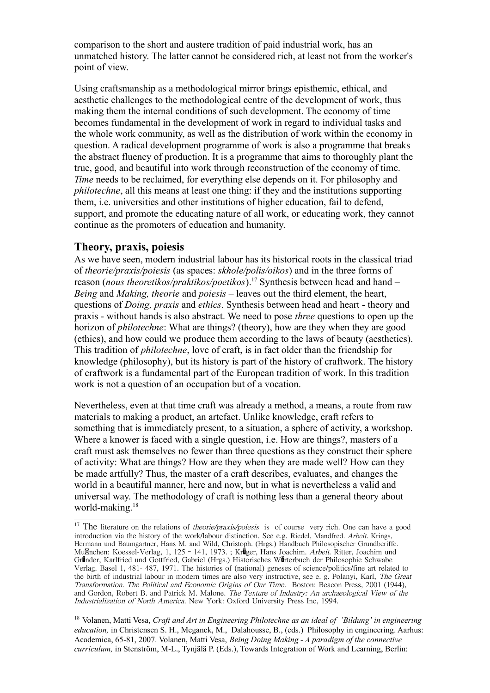comparison to the short and austere tradition of paid industrial work, has an unmatched history. The latter cannot be considered rich, at least not from the worker's point of view.

Using craftsmanship as a methodological mirror brings episthemic, ethical, and aesthetic challenges to the methodological centre of the development of work, thus making them the internal conditions of such development. The economy of time becomes fundamental in the development of work in regard to individual tasks and the whole work community, as well as the distribution of work within the economy in question. A radical development programme of work is also a programme that breaks the abstract fluency of production. It is a programme that aims to thoroughly plant the true, good, and beautiful into work through reconstruction of the economy of time. *Time* needs to be reclaimed, for everything else depends on it. For philosophy and *philotechne*, all this means at least one thing: if they and the institutions supporting them, i.e. universities and other institutions of higher education, fail to defend, support, and promote the educating nature of all work, or educating work, they cannot continue as the promoters of education and humanity.

## **Theory, praxis, poiesis**

As we have seen, modern industrial labour has its historical roots in the classical triad of *theorie/praxis/poiesis* (as spaces: *skhole/polis/oikos*) and in the three forms of reason (*nous theoretikos/praktikos/poetikos*).[17](#page-6-0) Synthesis between head and hand – *Being* and *Making, theorie* and *poiesis* – leaves out the third element, the heart, questions of *Doing, praxis* and *ethics*. Synthesis between head and heart - theory and praxis - without hands is also abstract. We need to pose *three* questions to open up the horizon of *philotechne*: What are things? (theory), how are they when they are good (ethics), and how could we produce them according to the laws of beauty (aesthetics). This tradition of *philotechne*, love of craft, is in fact older than the friendship for knowledge (philosophy), but its history is part of the history of craftwork. The history of craftwork is a fundamental part of the European tradition of work. In this tradition work is not a question of an occupation but of a vocation.

Nevertheless, even at that time craft was already a method, a means, a route from raw materials to making a product, an artefact. Unlike knowledge, craft refers to something that is immediately present, to a situation, a sphere of activity, a workshop. Where a knower is faced with a single question, i.e. How are things?, masters of a craft must ask themselves no fewer than three questions as they construct their sphere of activity: What are things? How are they when they are made well? How can they be made artfully? Thus, the master of a craft describes, evaluates, and changes the world in a beautiful manner, here and now, but in what is nevertheless a valid and universal way. The methodology of craft is nothing less than a general theory about world-making.[18](#page-6-1)

<span id="page-6-0"></span><sup>&</sup>lt;sup>17</sup> The literature on the relations of *theorie/praxis/poiesis* is of course very rich. One can have a good introduction via the history of the work/labour distinction. See e.g. Riedel, Mandfred. Arbeit. Krings, Hermann und Baumgartner, Hans M. and Wild, Christoph. (Hrgs.) Handbuch Philosopischer Grundberiffe. München: Koessel-Verlag, 1, 125–141, 1973. ; Krüger, Hans Joachim. Arbeit. Ritter, Joachim und Gründer, Karlfried und Gottfried, Gabriel (Hrgs.) Historisches Wörterbuch der Philosophie Schwabe Verlag. Basel 1, 481- 487, 1971. The histories of (national) geneses of science/politics/fine art related to the birth of industrial labour in modern times are also very instructive, see e. g. Polanyi, Karl, The Great Transformation. The Political and Economic Origins of Our Time. Boston: Beacon Press, 2001 (1944), and Gordon, Robert B. and Patrick M. Malone. The Texture of Industry: An archaeological View of the Industrialization of North America. New York: Oxford University Press Inc, 1994.

<span id="page-6-1"></span><sup>18</sup> Volanen, Matti Vesa, *Craft and Art in Engineering Philotechne as an ideal of 'Bildung' in engineering education,* in Christensen S. H., Meganck, M., Dalahousse, B., (eds.) Philosophy in engineering. Aarhus: Academica, 65-81, 2007. Volanen, Matti Vesa, *Being Doing Making - A paradigm of the connective curriculum,* in Stenström, M-L., Tynjälä P. (Eds.), Towards Integration of Work and Learning, Berlin: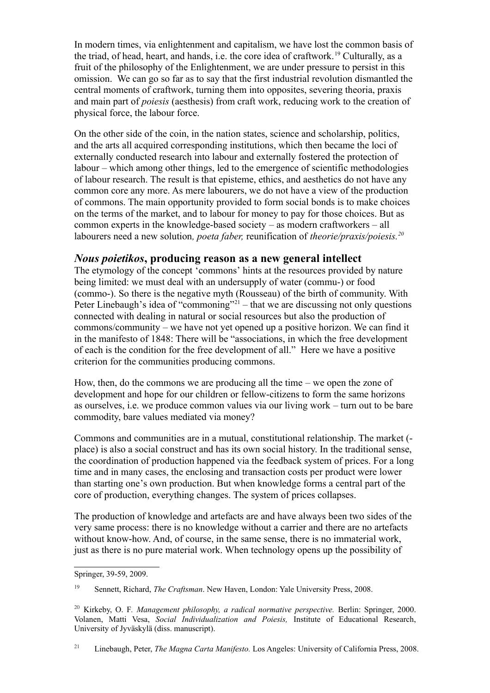In modern times, via enlightenment and capitalism, we have lost the common basis of the triad, of head, heart, and hands, i.e. the core idea of craftwork.<sup>[19](#page-7-0)</sup> Culturally, as a fruit of the philosophy of the Enlightenment, we are under pressure to persist in this omission. We can go so far as to say that the first industrial revolution dismantled the central moments of craftwork, turning them into opposites, severing theoria, praxis and main part of *poiesis* (aesthesis) from craft work, reducing work to the creation of physical force, the labour force.

On the other side of the coin, in the nation states, science and scholarship, politics, and the arts all acquired corresponding institutions, which then became the loci of externally conducted research into labour and externally fostered the protection of labour – which among other things, led to the emergence of scientific methodologies of labour research. The result is that episteme, ethics, and aesthetics do not have any common core any more. As mere labourers, we do not have a view of the production of commons. The main opportunity provided to form social bonds is to make choices on the terms of the market, and to labour for money to pay for those choices. But as common experts in the knowledge-based society – as modern craftworkers – all labourers need a new solution*, poeta faber,* reunification of *theorie/praxis/poiesis.[20](#page-7-1)*

### *Nous poietikos***, producing reason as a new general intellect**

The etymology of the concept 'commons' hints at the resources provided by nature being limited: we must deal with an undersupply of water (commu-) or food (commo-). So there is the negative myth (Rousseau) of the birth of community. With Peter Linebaugh's idea of "commoning"<sup>[21](#page-7-2)</sup> – that we are discussing not only questions connected with dealing in natural or social resources but also the production of commons/community – we have not yet opened up a positive horizon. We can find it in the manifesto of 1848: There will be "associations, in which the free development of each is the condition for the free development of all." Here we have a positive criterion for the communities producing commons.

How, then, do the commons we are producing all the time  $-$  we open the zone of development and hope for our children or fellow-citizens to form the same horizons as ourselves, i.e. we produce common values via our living work – turn out to be bare commodity, bare values mediated via money?

Commons and communities are in a mutual, constitutional relationship. The market ( place) is also a social construct and has its own social history. In the traditional sense, the coordination of production happened via the feedback system of prices. For a long time and in many cases, the enclosing and transaction costs per product were lower than starting one's own production. But when knowledge forms a central part of the core of production, everything changes. The system of prices collapses.

The production of knowledge and artefacts are and have always been two sides of the very same process: there is no knowledge without a carrier and there are no artefacts without know-how. And, of course, in the same sense, there is no immaterial work, just as there is no pure material work. When technology opens up the possibility of

Springer, 39-59, 2009.

<span id="page-7-0"></span><sup>19</sup> Sennett, Richard, *The Craftsman*. New Haven, London: Yale University Press, 2008.

<span id="page-7-1"></span><sup>20</sup> Kirkeby, O. F*. Management philosophy, a radical normative perspective.* Berlin: Springer, 2000. Volanen, Matti Vesa, *Social Individualization and Poiesis,* Institute of Educational Research, University of Jyväskylä (diss. manuscript).

<span id="page-7-2"></span><sup>21</sup> Linebaugh, Peter, *The Magna Carta Manifesto.* Los Angeles: University of California Press, 2008.